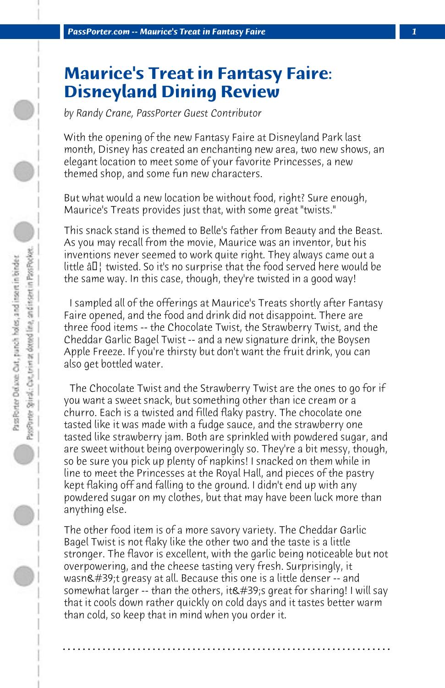## **Maurice's Treat in Fantasy Faire: Disneyland Dining Review**

*by Randy Crane, PassPorter Guest Contributor*

With the opening of the new Fantasy Faire at Disneyland Park last month, Disney has created an enchanting new area, two new shows, an elegant location to meet some of your favorite Princesses, a new themed shop, and some fun new characters.

But what would a new location be without food, right? Sure enough, Maurice's Treats provides just that, with some great "twists."

This snack stand is themed to Belle's father from Beauty and the Beast. As you may recall from the movie, Maurice was an inventor, but his inventions never seemed to work quite right. They always came out a little  $\hat{a}\boldsymbol{\epsilon}$  twisted. So it's no surprise that the food served here would be the same way. In this case, though, they're twisted in a good way!

 I sampled all of the offerings at Maurice's Treats shortly after Fantasy Faire opened, and the food and drink did not disappoint. There are three food items -- the Chocolate Twist, the Strawberry Twist, and the Cheddar Garlic Bagel Twist -- and a new signature drink, the Boysen Apple Freeze. If you're thirsty but don't want the fruit drink, you can also get bottled water.

 The Chocolate Twist and the Strawberry Twist are the ones to go for if you want a sweet snack, but something other than ice cream or a churro. Each is a twisted and filled flaky pastry. The chocolate one tasted like it was made with a fudge sauce, and the strawberry one tasted like strawberry jam. Both are sprinkled with powdered sugar, and are sweet without being overpoweringly so. They're a bit messy, though, so be sure you pick up plenty of napkins! I snacked on them while in line to meet the Princesses at the Royal Hall, and pieces of the pastry kept flaking off and falling to the ground. I didn't end up with any powdered sugar on my clothes, but that may have been luck more than anything else.

The other food item is of a more savory variety. The Cheddar Garlic Bagel Twist is not flaky like the other two and the taste is a little stronger. The flavor is excellent, with the garlic being noticeable but not overpowering, and the cheese tasting very fresh. Surprisingly, it wasn't greasy at all. Because this one is a little denser -- and somewhat larger -- than the others, it's great for sharing! I will say that it cools down rather quickly on cold days and it tastes better warm than cold, so keep that in mind when you order it.

**. . . . . . . . . . . . . . . . . . . . . . . . . . . . . . . . . . . . . . . . . . . . . . . . . . . . . . . . . . . . . . . . . .**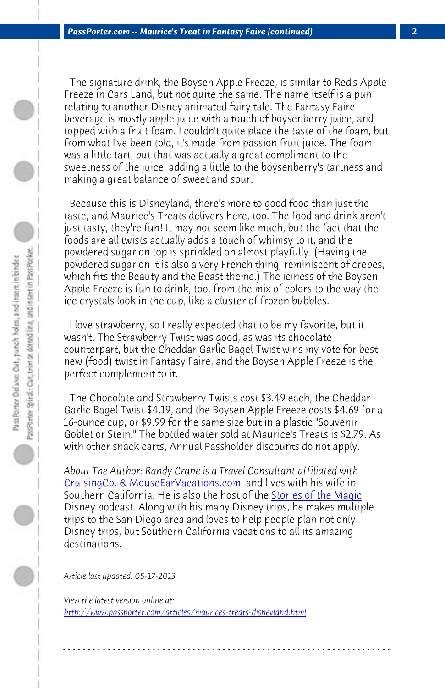*PassPorter.com -- Maurice's Treat in Fantasy Faire (continued) 2*

 The signature drink, the Boysen Apple Freeze, is similar to Red's Apple Freeze in Cars Land, but not quite the same. The name itself is a pun relating to another Disney animated fairy tale. The Fantasy Faire beverage is mostly apple juice with a touch of boysenberry juice, and topped with a fruit foam. I couldn't quite place the taste of the foam, but from what I've been told, it's made from passion fruit juice. The foam was a little tart, but that was actually a great compliment to the sweetness of the juice, adding a little to the boysenberry's tartness and making a great balance of sweet and sour.

 Because this is Disneyland, there's more to good food than just the taste, and Maurice's Treats delivers here, too. The food and drink aren't just tasty, they're fun! It may not seem like much, but the fact that the foods are all twists actually adds a touch of whimsy to it, and the powdered sugar on top is sprinkled on almost playfully. (Having the powdered sugar on it is also a very French thing, reminiscent of crepes, [which fits the Beauty and the Beast the](http://www.mouseearvacations.com)me.) The iciness of the Boysen Apple Freeze is fun to drink, too, from the mix [of colors to the way](http://storiesofthemagic.com/) the ice crystals look in the cup, like a cluster of frozen bubbles.

 I love strawberry, so I really expected that to be my favorite, but it wasn't. The Strawberry Twist was good, as was its chocolate counterpart, but the Cheddar Garlic Bagel Twist wins my vote for best new (food) twist in Fantasy Faire, and the Boysen Apple Freeze is the perfect complement to it.

 The Chocolate and Strawberry Twists cost \$3.49 each, the Cheddar [Garlic Bagel Twist \\$4.19, and the Boysen Apple Freeze](http://www.passporter.com/articles/maurices-treats-disneyland.php) costs \$4.69 for a 16-ounce cup, or \$9.99 for the same size but in a plastic "Souvenir Goblet or Stein." The bottled water sold at Maurice's Treats is \$2.79. As with other snack carts, Annual Passholder discounts do not apply.

*About The Author: Randy Crane is a Travel Consultant affiliated with*  CruisingCo. & MouseEarVacations.com, and lives with his wife in Southern California. He is also the host of the Stories of the Magic Disney podcast. Along with his many Disney trips, he makes multiple trips to the San Diego area and loves to help people plan not only Disney trips, but Southern California vacations to all its amazing destinations.

**. . . . . . . . . . . . . . . . . . . . . . . . . . . . . . . . . . . . . . . . . . . . . . . . . . . . . . . . . . . . . . . . . .**

*Article last updated: 05-17-2013*

*View the latest version online at: http://www.passporter.com/articles/maurices-treats-disneyland.html*